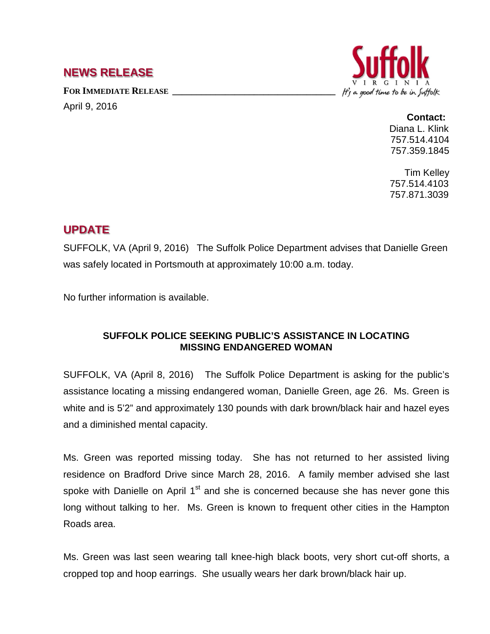## **NEWS RELEASE**

FOR IMMEDIATE RELEASE

April 9, 2016



## **Contact:**

Diana L. Klink 757.514.4104 757.359.1845

Tim Kelley 757.514.4103 757.871.3039

## **UPDATE**

SUFFOLK, VA (April 9, 2016) The Suffolk Police Department advises that Danielle Green was safely located in Portsmouth at approximately 10:00 a.m. today.

No further information is available.

## **SUFFOLK POLICE SEEKING PUBLIC'S ASSISTANCE IN LOCATING MISSING ENDANGERED WOMAN**

SUFFOLK, VA (April 8, 2016) The Suffolk Police Department is asking for the public's assistance locating a missing endangered woman, Danielle Green, age 26. Ms. Green is white and is 5'2" and approximately 130 pounds with dark brown/black hair and hazel eyes and a diminished mental capacity.

Ms. Green was reported missing today. She has not returned to her assisted living residence on Bradford Drive since March 28, 2016. A family member advised she last spoke with Danielle on April 1<sup>st</sup> and she is concerned because she has never gone this long without talking to her. Ms. Green is known to frequent other cities in the Hampton Roads area.

Ms. Green was last seen wearing tall knee-high black boots, very short cut-off shorts, a cropped top and hoop earrings. She usually wears her dark brown/black hair up.